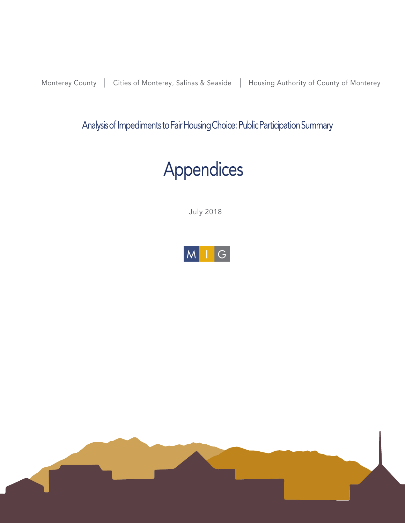Monterey County | Cities of Monterey, Salinas & Seaside | Housing Authority of County of Monterey

Analysis of Impediments to Fair Housing Choice: Public Participation Summary

# Appendices

July 2018



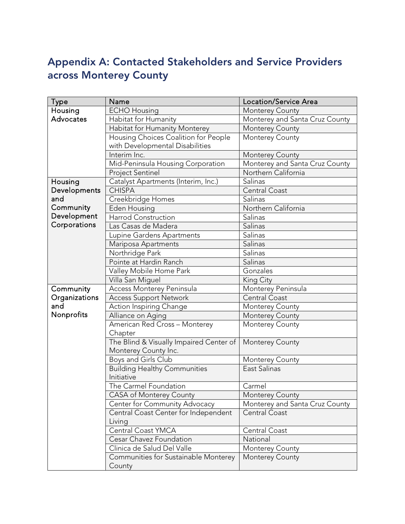# Appendix A: Contacted Stakeholders and Service Providers across Monterey County

| <b>Type</b>   | Name                                           | <b>Location/Service Area</b>                      |  |
|---------------|------------------------------------------------|---------------------------------------------------|--|
| Housing       | <b>ECHO Housing</b>                            | Monterey County<br>Monterey and Santa Cruz County |  |
| Advocates     | Habitat for Humanity                           |                                                   |  |
|               | Habitat for Humanity Monterey                  | Monterey County                                   |  |
|               | Housing Choices Coalition for People           | Monterey County                                   |  |
|               | with Developmental Disabilities                |                                                   |  |
|               | Interim Inc.                                   | Monterey County                                   |  |
|               | Mid-Peninsula Housing Corporation              | Monterey and Santa Cruz County                    |  |
|               | <b>Project Sentinel</b>                        | Northern California                               |  |
| Housing       | Catalyst Apartments (Interim, Inc.)            | Salinas                                           |  |
| Developments  | <b>CHISPA</b>                                  | Central Coast                                     |  |
| and           | Creekbridge Homes                              | Salinas                                           |  |
| Community     | Eden Housing                                   | Northern California                               |  |
| Development   | Harrod Construction                            | Salinas                                           |  |
| Corporations  | Las Casas de Madera                            | Salinas                                           |  |
|               | Lupine Gardens Apartments                      | Salinas                                           |  |
|               | Mariposa Apartments                            | Salinas                                           |  |
|               | Northridge Park                                | Salinas                                           |  |
|               | Pointe at Hardin Ranch                         | Salinas                                           |  |
|               | Valley Mobile Home Park                        | Gonzales                                          |  |
|               | Villa San Miguel                               | King City                                         |  |
| Community     | Access Monterey Peninsula                      | Monterey Peninsula                                |  |
| Organizations | <b>Access Support Network</b>                  | Central Coast                                     |  |
| and           | Action Inspiring Change                        | Monterey County                                   |  |
| Nonprofits    | Alliance on Aging                              | Monterey County<br>Monterey County                |  |
|               | American Red Cross - Monterey                  |                                                   |  |
|               | Chapter                                        |                                                   |  |
|               | The Blind & Visually Impaired Center of        | Monterey County                                   |  |
|               | Monterey County Inc.                           |                                                   |  |
|               | Boys and Girls Club                            | Monterey County                                   |  |
|               | <b>Building Healthy Communities</b>            | East Salinas                                      |  |
|               | Initiative                                     |                                                   |  |
|               | The Carmel Foundation                          | Carmel                                            |  |
|               | CASA of Monterey County                        | Monterey County                                   |  |
|               | Center for Community Advocacy                  | Monterey and Santa Cruz County                    |  |
|               | Central Coast Center for Independent<br>Living | <b>Central Coast</b>                              |  |
|               | Central Coast YMCA                             | Central Coast                                     |  |
|               | Cesar Chavez Foundation                        | National                                          |  |
|               | Clinica de Salud Del Valle                     | Monterey County                                   |  |
|               | Communities for Sustainable Monterey<br>County | Monterey County                                   |  |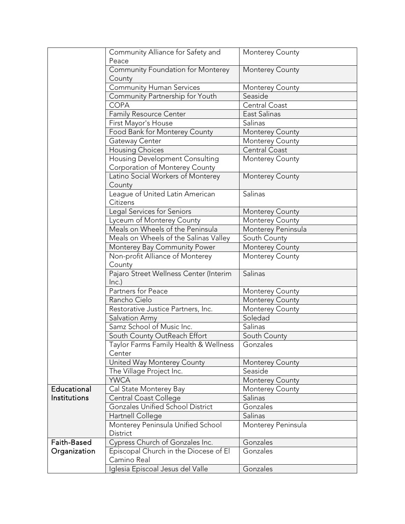|                                                    | Community Alliance for Safety and                                | Monterey County        |
|----------------------------------------------------|------------------------------------------------------------------|------------------------|
|                                                    | Peace                                                            |                        |
|                                                    | Community Foundation for Monterey<br>County                      | <b>Monterey County</b> |
|                                                    | <b>Community Human Services</b>                                  | <b>Monterey County</b> |
|                                                    | Community Partnership for Youth                                  | Seaside                |
|                                                    | <b>COPA</b>                                                      | Central Coast          |
|                                                    | Family Resource Center                                           | East Salinas           |
|                                                    | First Mayor's House                                              | Salinas                |
|                                                    | Food Bank for Monterey County                                    | Monterey County        |
|                                                    | Gateway Center                                                   | Monterey County        |
|                                                    | <b>Housing Choices</b>                                           | Central Coast          |
|                                                    | Housing Development Consulting<br>Corporation of Monterey County | Monterey County        |
|                                                    | Latino Social Workers of Monterey<br>County                      | Monterey County        |
|                                                    | League of United Latin American<br>Citizens                      | Salinas                |
|                                                    | Legal Services for Seniors                                       | Monterey County        |
|                                                    | Lyceum of Monterey County                                        | <b>Monterey County</b> |
|                                                    | Meals on Wheels of the Peninsula                                 | Monterey Peninsula     |
|                                                    | Meals on Wheels of the Salinas Valley                            | South County           |
|                                                    | Monterey Bay Community Power                                     | Monterey County        |
|                                                    | Non-profit Alliance of Monterey<br>County                        | Monterey County        |
| Pajaro Street Wellness Center (Interim<br>$lnc.$ ) |                                                                  | Salinas                |
|                                                    | Partners for Peace                                               | <b>Monterey County</b> |
|                                                    | Rancho Cielo                                                     | Monterey County        |
|                                                    | Restorative Justice Partners, Inc.                               | Monterey County        |
|                                                    | Salvation Army                                                   | Soledad                |
|                                                    | Samz School of Music Inc.                                        | Salinas                |
|                                                    | South County OutReach Effort                                     | South County           |
|                                                    | Taylor Farms Family Health & Wellness<br>Center                  | Gonzales               |
|                                                    | United Way Monterey County                                       | Monterey County        |
|                                                    | The Village Project Inc.                                         | Seaside                |
|                                                    | <b>YWCA</b>                                                      | <b>Monterey County</b> |
| Educational                                        | Cal State Monterey Bay                                           | Monterey County        |
| Institutions                                       | Central Coast College                                            | Salinas                |
|                                                    | Gonzales Unified School District                                 | Gonzales               |
|                                                    | Hartnell College                                                 | Salinas                |
|                                                    | Monterey Peninsula Unified School<br>District                    | Monterey Peninsula     |
| Faith-Based                                        | Cypress Church of Gonzales Inc.                                  | Gonzales               |
| Organization                                       | Episcopal Church in the Diocese of El<br>Camino Real             | Gonzales               |
|                                                    | Iglesia Episcoal Jesus del Valle                                 | Gonzales               |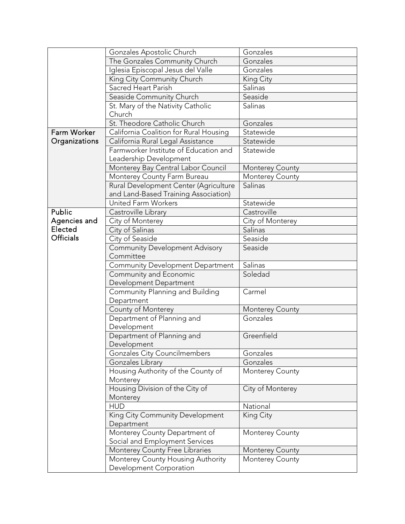|                  | Gonzales Apostolic Church                 | Gonzales               |
|------------------|-------------------------------------------|------------------------|
|                  | The Gonzales Community Church             | Gonzales               |
|                  | Iglesia Episcopal Jesus del Valle         | Gonzales               |
|                  | King City Community Church                | King City              |
|                  | Sacred Heart Parish                       | Salinas                |
|                  | Seaside Community Church                  | Seaside                |
|                  | St. Mary of the Nativity Catholic         | Salinas                |
|                  | Church                                    |                        |
|                  | St. Theodore Catholic Church              | Gonzales               |
| Farm Worker      | California Coalition for Rural Housing    | Statewide              |
| Organizations    | California Rural Legal Assistance         | Statewide              |
|                  | Farmworker Institute of Education and     | Statewide              |
|                  | Leadership Development                    |                        |
|                  | Monterey Bay Central Labor Council        | <b>Monterey County</b> |
|                  | Monterey County Farm Bureau               | Monterey County        |
|                  | Rural Development Center (Agriculture     | Salinas                |
|                  | and Land-Based Training Association)      |                        |
|                  | <b>United Farm Workers</b>                | Statewide              |
| Public           | Castroville Library                       | Castroville            |
| Agencies and     | City of Monterey                          | City of Monterey       |
| Elected          | City of Salinas                           | Salinas                |
| <b>Officials</b> | City of Seaside                           | Seaside                |
|                  | <b>Community Development Advisory</b>     | Seaside                |
|                  | Committee                                 |                        |
|                  | Community Development Department          | Salinas                |
|                  | Community and Economic                    | Soledad                |
|                  | Development Department                    |                        |
|                  | Community Planning and Building           | Carmel                 |
|                  | Department                                |                        |
|                  | County of Monterey                        | <b>Monterey County</b> |
|                  | Department of Planning and<br>Development | Gonzales               |
|                  | Department of Planning and                | Greenfield             |
|                  | Development                               |                        |
|                  | Gonzales City Councilmembers              | Gonzales               |
|                  | Gonzales Library                          | Gonzales               |
|                  | Housing Authority of the County of        | Monterey County        |
|                  | Monterey                                  |                        |
|                  | Housing Division of the City of           | City of Monterey       |
|                  | Monterey                                  |                        |
|                  | <b>HUD</b>                                | National               |
|                  | King City Community Development           | King City              |
|                  | Department                                |                        |
|                  | Monterey County Department of             | Monterey County        |
|                  | Social and Employment Services            |                        |
|                  | Monterey County Free Libraries            | Monterey County        |
|                  | Monterey County Housing Authority         | Monterey County        |
|                  | Development Corporation                   |                        |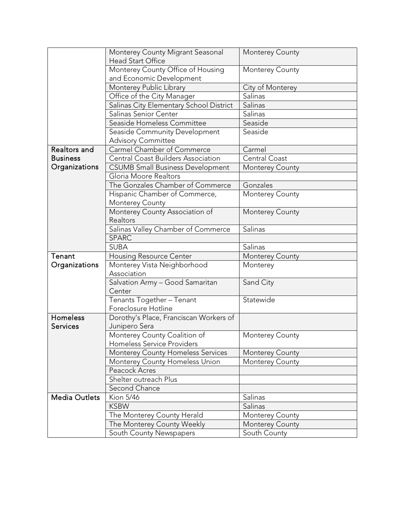|                      | Monterey County Migrant Seasonal                         | Monterey County                    |
|----------------------|----------------------------------------------------------|------------------------------------|
|                      | <b>Head Start Office</b>                                 |                                    |
|                      | Monterey County Office of Housing                        | Monterey County                    |
|                      | and Economic Development                                 |                                    |
|                      | Monterey Public Library                                  | City of Monterey                   |
|                      | Office of the City Manager                               | Salinas                            |
|                      | Salinas City Elementary School District                  | Salinas                            |
|                      | Salinas Senior Center                                    | Salinas                            |
|                      | Seaside Homeless Committee                               | Seaside                            |
|                      | Seaside Community Development                            | Seaside                            |
|                      | <b>Advisory Committee</b>                                |                                    |
| Realtors and         | Carmel Chamber of Commerce                               | Carmel                             |
| <b>Business</b>      | <b>Central Coast Builders Association</b>                | Central Coast                      |
| Organizations        | <b>CSUMB Small Business Development</b>                  | <b>Monterey County</b>             |
|                      | Gloria Moore Realtors                                    |                                    |
|                      | The Gonzales Chamber of Commerce                         | Gonzales                           |
|                      | Hispanic Chamber of Commerce,                            | Monterey County                    |
|                      | Monterey County                                          |                                    |
|                      | Monterey County Association of                           | Monterey County                    |
|                      | Realtors                                                 |                                    |
|                      | Salinas Valley Chamber of Commerce                       | Salinas                            |
|                      | <b>SPARC</b>                                             |                                    |
|                      | <b>SUBA</b>                                              | Salinas                            |
|                      |                                                          |                                    |
| Tenant               |                                                          |                                    |
|                      | <b>Housing Resource Center</b>                           | Monterey County<br>Monterey        |
| Organizations        | Monterey Vista Neighborhood<br>Association               |                                    |
|                      | Salvation Army - Good Samaritan                          | Sand City                          |
|                      | Center                                                   |                                    |
|                      |                                                          | Statewide                          |
|                      | Tenants Together - Tenant<br>Foreclosure Hotline         |                                    |
| Homeless             | Dorothy's Place, Franciscan Workers of                   |                                    |
| <b>Services</b>      | Junipero Sera                                            |                                    |
|                      | Monterey County Coalition of                             | Monterey County                    |
|                      | Homeless Service Providers                               |                                    |
|                      | <b>Monterey County Homeless Services</b>                 | <b>Monterey County</b>             |
|                      |                                                          | <b>Monterey County</b>             |
|                      | Monterey County Homeless Union<br>Peacock Acres          |                                    |
|                      | Shelter outreach Plus                                    |                                    |
|                      | Second Chance                                            |                                    |
| <b>Media Outlets</b> | Kion 5/46                                                | Salinas                            |
|                      | <b>KSBW</b>                                              | Salinas                            |
|                      |                                                          |                                    |
|                      | The Monterey County Herald<br>The Monterey County Weekly | Monterey County<br>Monterey County |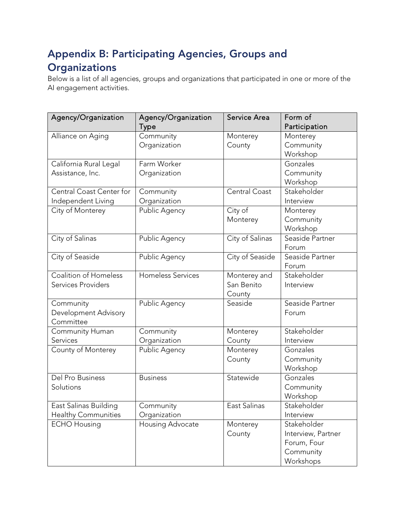# Appendix B: Participating Agencies, Groups and **Organizations**

Below is a list of all agencies, groups and organizations that participated in one or more of the AI engagement activities.

| Agency/Organization        | Agency/Organization      | Service Area    | Form of            |
|----------------------------|--------------------------|-----------------|--------------------|
|                            | <b>Type</b>              |                 | Participation      |
| Alliance on Aging          | Community                | Monterey        | Monterey           |
|                            | Organization             | County          | Community          |
|                            |                          |                 | Workshop           |
| California Rural Legal     | Farm Worker              |                 | Gonzales           |
| Assistance, Inc.           | Organization             |                 | Community          |
|                            |                          |                 | Workshop           |
| Central Coast Center for   | Community                | Central Coast   | Stakeholder        |
| Independent Living         | Organization             |                 | Interview          |
| City of Monterey           | Public Agency            | City of         | Monterey           |
|                            |                          | Monterey        | Community          |
|                            |                          |                 | Workshop           |
| City of Salinas            | Public Agency            | City of Salinas | Seaside Partner    |
|                            |                          |                 | Forum              |
| City of Seaside            | Public Agency            | City of Seaside | Seaside Partner    |
|                            |                          |                 | Forum              |
| Coalition of Homeless      | <b>Homeless Services</b> | Monterey and    | Stakeholder        |
| <b>Services Providers</b>  |                          | San Benito      | Interview          |
|                            |                          | County          |                    |
| Community                  | Public Agency            | Seaside         | Seaside Partner    |
| Development Advisory       |                          |                 | Forum              |
| Committee                  |                          |                 |                    |
| Community Human            | Community                | Monterey        | Stakeholder        |
| Services                   | Organization             | County          | Interview          |
| County of Monterey         | Public Agency            | Monterey        | Gonzales           |
|                            |                          | County          | Community          |
|                            |                          |                 | Workshop           |
| Del Pro Business           | <b>Business</b>          | Statewide       | Gonzales           |
| Solutions                  |                          |                 | Community          |
|                            |                          |                 | Workshop           |
| East Salinas Building      | Community                | East Salinas    | Stakeholder        |
| <b>Healthy Communities</b> | Organization             |                 | Interview          |
| <b>ECHO Housing</b>        | Housing Advocate         | Monterey        | Stakeholder        |
|                            |                          | County          | Interview, Partner |
|                            |                          |                 | Forum, Four        |
|                            |                          |                 | Community          |
|                            |                          |                 | Workshops          |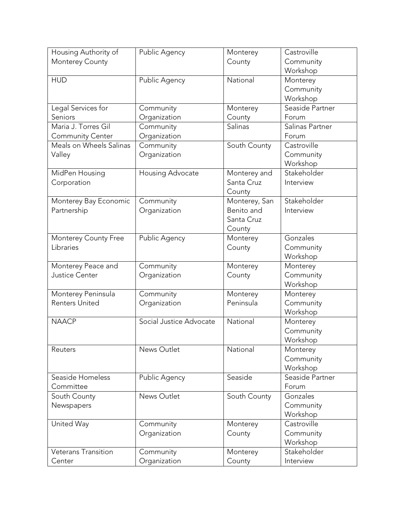| Housing Authority of    | Public Agency           | Monterey      | Castroville     |
|-------------------------|-------------------------|---------------|-----------------|
| Monterey County         |                         | County        | Community       |
|                         |                         |               | Workshop        |
| <b>HUD</b>              | Public Agency           | National      | Monterey        |
|                         |                         |               | Community       |
|                         |                         |               | Workshop        |
| Legal Services for      | Community               | Monterey      | Seaside Partner |
| Seniors                 | Organization            | County        | Forum           |
| Maria J. Torres Gil     | Community               | Salinas       | Salinas Partner |
| <b>Community Center</b> | Organization            |               | Forum           |
| Meals on Wheels Salinas | Community               | South County  | Castroville     |
| Valley                  | Organization            |               | Community       |
|                         |                         |               | Workshop        |
| MidPen Housing          | Housing Advocate        | Monterey and  | Stakeholder     |
| Corporation             |                         | Santa Cruz    | Interview       |
|                         |                         | County        |                 |
| Monterey Bay Economic   | Community               | Monterey, San | Stakeholder     |
| Partnership             | Organization            | Benito and    | Interview       |
|                         |                         | Santa Cruz    |                 |
|                         |                         | County        |                 |
| Monterey County Free    | Public Agency           | Monterey      | Gonzales        |
| Libraries               |                         | County        | Community       |
|                         |                         |               | Workshop        |
| Monterey Peace and      | Community               | Monterey      | Monterey        |
| Justice Center          | Organization            | County        | Community       |
|                         |                         |               | Workshop        |
| Monterey Peninsula      | Community               | Monterey      | Monterey        |
| <b>Renters United</b>   | Organization            | Peninsula     | Community       |
|                         |                         |               | Workshop        |
| <b>NAACP</b>            | Social Justice Advocate | National      | Monterey        |
|                         |                         |               | Community       |
|                         |                         |               | Workshop        |
| Reuters                 | News Outlet             | National      | Monterey        |
|                         |                         |               | Community       |
|                         |                         |               | Workshop        |
| Seaside Homeless        | Public Agency           | Seaside       | Seaside Partner |
| Committee               |                         |               | Forum           |
| South County            | News Outlet             | South County  | Gonzales        |
| Newspapers              |                         |               | Community       |
|                         |                         |               | Workshop        |
| United Way              | Community               | Monterey      | Castroville     |
|                         | Organization            | County        | Community       |
|                         |                         |               | Workshop        |
| Veterans Transition     | Community               | Monterey      | Stakeholder     |
| Center                  | Organization            | County        | Interview       |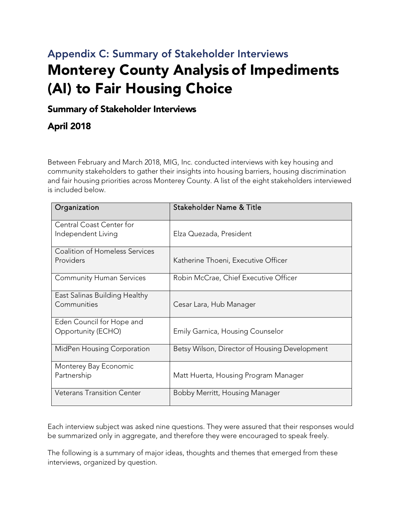# Appendix C: Summary of Stakeholder Interviews Monterey County Analysis of Impediments (AI) to Fair Housing Choice

## Summary of Stakeholder Interviews

# April 2018

Between February and March 2018, MIG, Inc. conducted interviews with key housing and community stakeholders to gather their insights into housing barriers, housing discrimination and fair housing priorities across Monterey County. A list of the eight stakeholders interviewed is included below.

| Organization                                          | Stakeholder Name & Title                      |
|-------------------------------------------------------|-----------------------------------------------|
| <b>Central Coast Center for</b><br>Independent Living | Elza Quezada, President                       |
| <b>Coalition of Homeless Services</b>                 |                                               |
| Providers                                             | Katherine Thoeni, Executive Officer           |
| <b>Community Human Services</b>                       | Robin McCrae, Chief Executive Officer         |
| East Salinas Building Healthy<br>Communities          | Cesar Lara, Hub Manager                       |
| Eden Council for Hope and                             |                                               |
| Opportunity (ECHO)                                    | <b>Emily Garnica, Housing Counselor</b>       |
| MidPen Housing Corporation                            | Betsy Wilson, Director of Housing Development |
| Monterey Bay Economic<br>Partnership                  | Matt Huerta, Housing Program Manager          |
|                                                       |                                               |
| <b>Veterans Transition Center</b>                     | Bobby Merritt, Housing Manager                |

Each interview subject was asked nine questions. They were assured that their responses would be summarized only in aggregate, and therefore they were encouraged to speak freely.

The following is a summary of major ideas, thoughts and themes that emerged from these interviews, organized by question.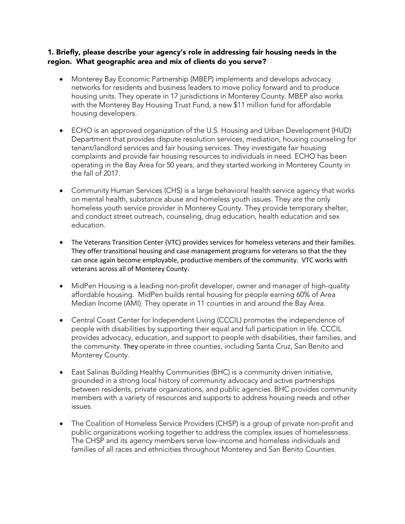#### 1. Briefly, please describe your agency's role in addressing fair housing needs in the region. What geographic area and mix of clients do you serve?

- Monterey Bay Economic Partnership (MBEP) implements and develops advocacy networks for residents and business leaders to move policy forward and to produce housing units. They operate in 17 jurisdictions in Monterey County. MBEP also works with the Monterey Bay Housing Trust Fund, a new \$11 million fund for affordable housing developers.
- ECHO is an approved organization of the U.S. Housing and Urban Development (HUD) Department that provides dispute resolution services, mediation, housing counseling for tenant/landlord services and fair housing services. They investigate fair housing complaints and provide fair housing resources to individuals in need. ECHO has been operating in the Bay Area for 50 years, and they started working in Monterey County in the fall of 2017.
- Community Human Services (CHS) is a large behavioral health service agency that works on mental health, substance abuse and homeless youth issues. They are the only homeless youth service provider in Monterey County. They provide temporary shelter, and conduct street outreach, counseling, drug education, health education and sex education.
- The Veterans Transition Center (VTC) provides services for homeless veterans and their families. They offer transitional housing and case management programs for veterans so that the they can once again become employable, productive members of the community. VTC works with veterans across all of Monterey County.
- MidPen Housing is a leading non-profit developer, owner and manager of high-quality affordable housing. MidPen builds rental housing for people earning 60% of Area Median Income (AMI). They operate in 11 counties in and around the Bay Area.
- Central Coast Center for Independent Living (CCCIL) promotes the independence of people with disabilities by supporting their equal and full participation in life. CCCIL provides advocacy, education, and support to people with disabilities, their families, and the community. They operate in three counties, including Santa Cruz, San Benito and Monterey County.
- East Salinas Building Healthy Communities (BHC) is a community driven initiative, grounded in a strong local history of community advocacy and active partnerships between residents, private organizations, and public agencies. BHC provides community members with a variety of resources and supports to address housing needs and other issues.
- The Coalition of Homeless Service Providers (CHSP) is a group of private non-profit and public organizations working together to address the complex issues of homelessness. The CHSP and its agency members serve low-income and homeless individuals and families of all races and ethnicities throughout Monterey and San Benito Counties.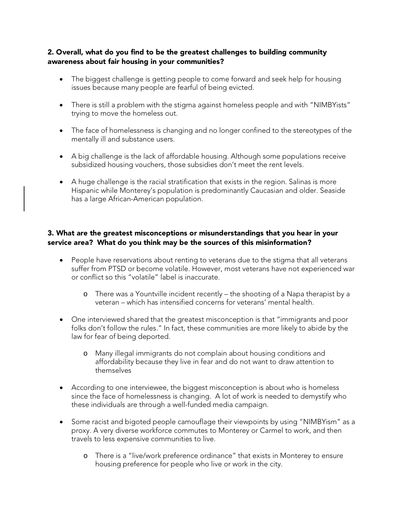#### 2. Overall, what do you find to be the greatest challenges to building community awareness about fair housing in your communities?

- The biggest challenge is getting people to come forward and seek help for housing issues because many people are fearful of being evicted.
- There is still a problem with the stigma against homeless people and with "NIMBYists" trying to move the homeless out.
- The face of homelessness is changing and no longer confined to the stereotypes of the mentally ill and substance users.
- A big challenge is the lack of affordable housing. Although some populations receive subsidized housing vouchers, those subsidies don't meet the rent levels.
- A huge challenge is the racial stratification that exists in the region. Salinas is more Hispanic while Monterey's population is predominantly Caucasian and older. Seaside has a large African-American population.

#### 3. What are the greatest misconceptions or misunderstandings that you hear in your service area? What do you think may be the sources of this misinformation?

- People have reservations about renting to veterans due to the stigma that all veterans suffer from PTSD or become volatile. However, most veterans have not experienced war or conflict so this "volatile" label is inaccurate.
	- o There was a Yountville incident recently the shooting of a Napa therapist by a veteran – which has intensified concerns for veterans' mental health.
- One interviewed shared that the greatest misconception is that "immigrants and poor folks don't follow the rules." In fact, these communities are more likely to abide by the law for fear of being deported.
	- o Many illegal immigrants do not complain about housing conditions and affordability because they live in fear and do not want to draw attention to themselves
- According to one interviewee, the biggest misconception is about who is homeless since the face of homelessness is changing. A lot of work is needed to demystify who these individuals are through a well-funded media campaign.
- Some racist and bigoted people camouflage their viewpoints by using "NIMBYism" as a proxy. A very diverse workforce commutes to Monterey or Carmel to work, and then travels to less expensive communities to live.
	- o There is a "live/work preference ordinance" that exists in Monterey to ensure housing preference for people who live or work in the city.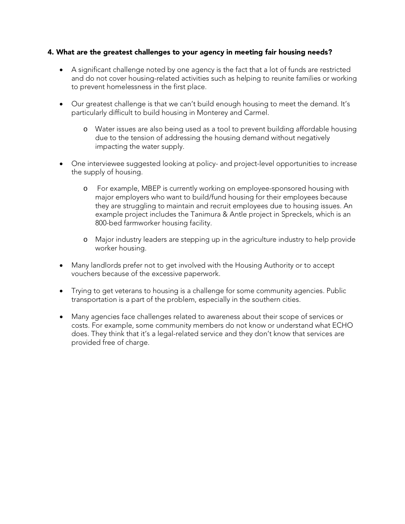#### 4. What are the greatest challenges to your agency in meeting fair housing needs?

- A significant challenge noted by one agency is the fact that a lot of funds are restricted and do not cover housing-related activities such as helping to reunite families or working to prevent homelessness in the first place.
- Our greatest challenge is that we can't build enough housing to meet the demand. It's particularly difficult to build housing in Monterey and Carmel.
	- o Water issues are also being used as a tool to prevent building affordable housing due to the tension of addressing the housing demand without negatively impacting the water supply.
- One interviewee suggested looking at policy- and project-level opportunities to increase the supply of housing.
	- o For example, MBEP is currently working on employee-sponsored housing with major employers who want to build/fund housing for their employees because they are struggling to maintain and recruit employees due to housing issues. An example project includes the Tanimura & Antle project in Spreckels, which is an 800-bed farmworker housing facility.
	- o Major industry leaders are stepping up in the agriculture industry to help provide worker housing.
- Many landlords prefer not to get involved with the Housing Authority or to accept vouchers because of the excessive paperwork.
- Trying to get veterans to housing is a challenge for some community agencies. Public transportation is a part of the problem, especially in the southern cities.
- Many agencies face challenges related to awareness about their scope of services or costs. For example, some community members do not know or understand what ECHO does. They think that it's a legal-related service and they don't know that services are provided free of charge.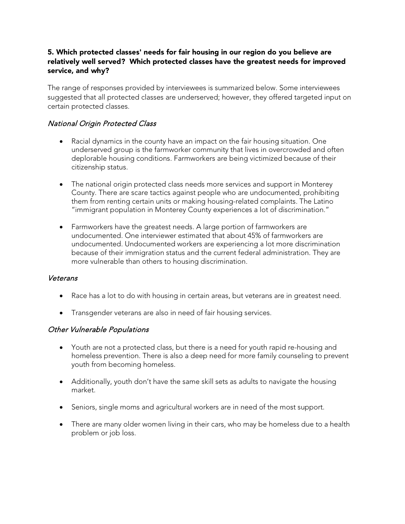#### 5. Which protected classes' needs for fair housing in our region do you believe are relatively well served? Which protected classes have the greatest needs for improved service, and why?

The range of responses provided by interviewees is summarized below. Some interviewees suggested that all protected classes are underserved; however, they offered targeted input on certain protected classes.

#### National Origin Protected Class

- Racial dynamics in the county have an impact on the fair housing situation. One underserved group is the farmworker community that lives in overcrowded and often deplorable housing conditions. Farmworkers are being victimized because of their citizenship status.
- The national origin protected class needs more services and support in Monterey County. There are scare tactics against people who are undocumented, prohibiting them from renting certain units or making housing-related complaints. The Latino "immigrant population in Monterey County experiences a lot of discrimination."
- Farmworkers have the greatest needs. A large portion of farmworkers are undocumented. One interviewer estimated that about 45% of farmworkers are undocumented. Undocumented workers are experiencing a lot more discrimination because of their immigration status and the current federal administration. They are more vulnerable than others to housing discrimination.

#### Veterans

- Race has a lot to do with housing in certain areas, but veterans are in greatest need.
- Transgender veterans are also in need of fair housing services.

#### Other Vulnerable Populations

- Youth are not a protected class, but there is a need for youth rapid re-housing and homeless prevention. There is also a deep need for more family counseling to prevent youth from becoming homeless.
- Additionally, youth don't have the same skill sets as adults to navigate the housing market.
- Seniors, single moms and agricultural workers are in need of the most support.
- There are many older women living in their cars, who may be homeless due to a health problem or job loss.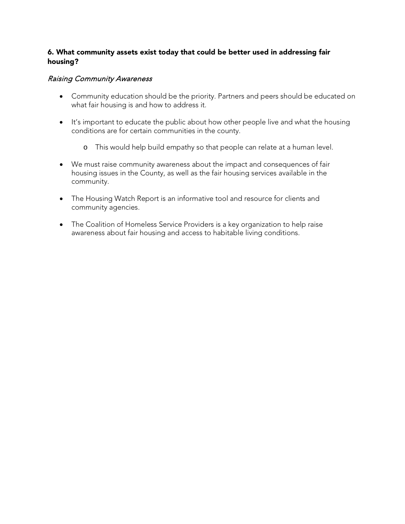#### 6. What community assets exist today that could be better used in addressing fair housing?

#### Raising Community Awareness

- Community education should be the priority. Partners and peers should be educated on what fair housing is and how to address it.
- It's important to educate the public about how other people live and what the housing conditions are for certain communities in the county.
	- o This would help build empathy so that people can relate at a human level.
- We must raise community awareness about the impact and consequences of fair housing issues in the County, as well as the fair housing services available in the community.
- The Housing Watch Report is an informative tool and resource for clients and community agencies.
- The Coalition of Homeless Service Providers is a key organization to help raise awareness about fair housing and access to habitable living conditions.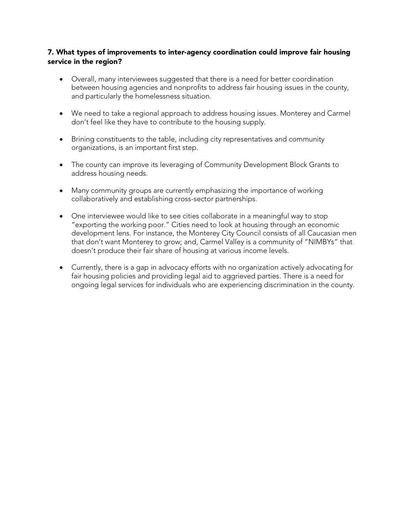#### 7. What types of improvements to inter-agency coordination could improve fair housing service in the region?

- Overall, many interviewees suggested that there is a need for better coordination between housing agencies and nonprofits to address fair housing issues in the county, and particularly the homelessness situation.
- We need to take a regional approach to address housing issues. Monterey and Carmel don't feel like they have to contribute to the housing supply.
- Brining constituents to the table, including city representatives and community organizations, is an important first step.
- The county can improve its leveraging of Community Development Block Grants to address housing needs.
- Many community groups are currently emphasizing the importance of working collaboratively and establishing cross-sector partnerships.
- One interviewee would like to see cities collaborate in a meaningful way to stop "exporting the working poor." Cities need to look at housing through an economic development lens. For instance, the Monterey City Council consists of all Caucasian men that don't want Monterey to grow; and, Carmel Valley is a community of "NIMBYs" that doesn't produce their fair share of housing at various income levels.
- Currently, there is a gap in advocacy efforts with no organization actively advocating for fair housing policies and providing legal aid to aggrieved parties. There is a need for ongoing legal services for individuals who are experiencing discrimination in the county.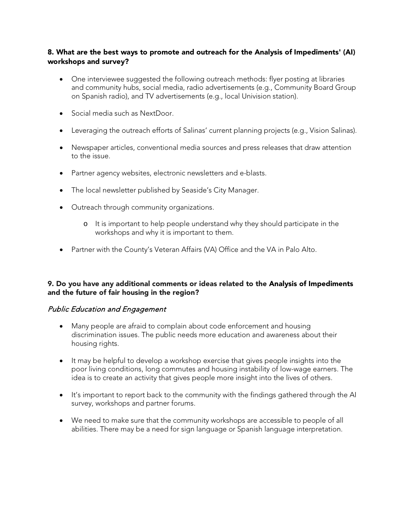#### 8. What are the best ways to promote and outreach for the Analysis of Impediments' (AI) workshops and survey?

- One interviewee suggested the following outreach methods: flyer posting at libraries and community hubs, social media, radio advertisements (e.g., Community Board Group on Spanish radio), and TV advertisements (e.g., local Univision station).
- Social media such as NextDoor.
- Leveraging the outreach efforts of Salinas' current planning projects (e.g., Vision Salinas).
- Newspaper articles, conventional media sources and press releases that draw attention to the issue.
- Partner agency websites, electronic newsletters and e-blasts.
- The local newsletter published by Seaside's City Manager.
- Outreach through community organizations.
	- o It is important to help people understand why they should participate in the workshops and why it is important to them.
- Partner with the County's Veteran Affairs (VA) Office and the VA in Palo Alto.

#### 9. Do you have any additional comments or ideas related to the Analysis of Impediments and the future of fair housing in the region?

#### Public Education and Engagement

- Many people are afraid to complain about code enforcement and housing discrimination issues. The public needs more education and awareness about their housing rights.
- It may be helpful to develop a workshop exercise that gives people insights into the poor living conditions, long commutes and housing instability of low-wage earners. The idea is to create an activity that gives people more insight into the lives of others.
- It's important to report back to the community with the findings gathered through the AI survey, workshops and partner forums.
- We need to make sure that the community workshops are accessible to people of all abilities. There may be a need for sign language or Spanish language interpretation.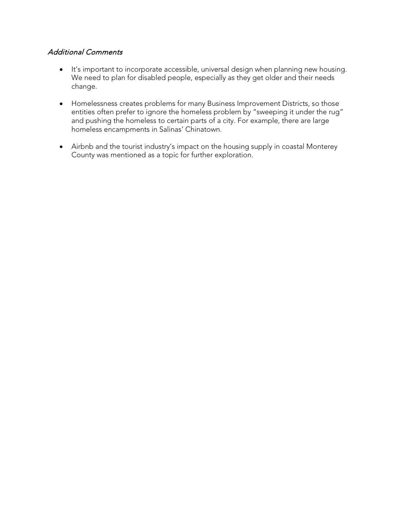#### Additional Comments

- It's important to incorporate accessible, universal design when planning new housing. We need to plan for disabled people, especially as they get older and their needs change.
- Homelessness creates problems for many Business Improvement Districts, so those entities often prefer to ignore the homeless problem by "sweeping it under the rug" and pushing the homeless to certain parts of a city. For example, there are large homeless encampments in Salinas' Chinatown.
- Airbnb and the tourist industry's impact on the housing supply in coastal Monterey County was mentioned as a topic for further exploration.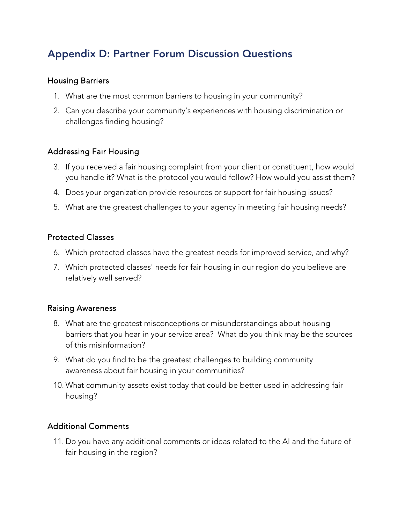# Appendix D: Partner Forum Discussion Questions

### Housing Barriers

- 1. What are the most common barriers to housing in your community?
- 2. Can you describe your community's experiences with housing discrimination or challenges finding housing?

### Addressing Fair Housing

- 3. If you received a fair housing complaint from your client or constituent, how would you handle it? What is the protocol you would follow? How would you assist them?
- 4. Does your organization provide resources or support for fair housing issues?
- 5. What are the greatest challenges to your agency in meeting fair housing needs?

### Protected Classes

- 6. Which protected classes have the greatest needs for improved service, and why?
- 7. Which protected classes' needs for fair housing in our region do you believe are relatively well served?

#### Raising Awareness

- 8. What are the greatest misconceptions or misunderstandings about housing barriers that you hear in your service area? What do you think may be the sources of this misinformation?
- 9. What do you find to be the greatest challenges to building community awareness about fair housing in your communities?
- 10. What community assets exist today that could be better used in addressing fair housing?

### Additional Comments

11. Do you have any additional comments or ideas related to the AI and the future of fair housing in the region?